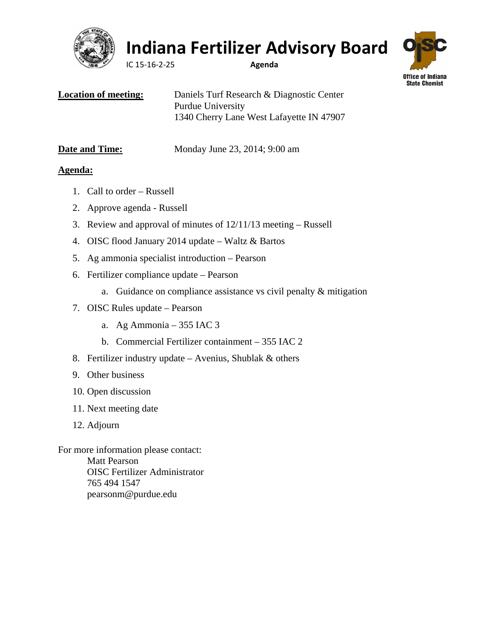

## **Indiana Fertilizer Advisory Board**

IC 15-16-2-25 **Agenda**



| <b>Location of meeting:</b> | Daniels Turf Research & Diagnostic Center |
|-----------------------------|-------------------------------------------|
|                             | Purdue University                         |
|                             | 1340 Cherry Lane West Lafayette IN 47907  |

| <b>Date and Time:</b> | Monday |
|-----------------------|--------|
|                       |        |

**June 23, 2014; 9:00 am** 

### **Agenda:**

- 1. Call to order Russell
- 2. Approve agenda Russell
- 3. Review and approval of minutes of 12/11/13 meeting Russell
- 4. OISC flood January 2014 update Waltz & Bartos
- 5. Ag ammonia specialist introduction Pearson
- 6. Fertilizer compliance update Pearson
	- a. Guidance on compliance assistance vs civil penalty & mitigation
- 7. OISC Rules update Pearson
	- a. Ag Ammonia 355 IAC 3
	- b. Commercial Fertilizer containment 355 IAC 2
- 8. Fertilizer industry update Avenius, Shublak & others
- 9. Other business
- 10. Open discussion
- 11. Next meeting date
- 12. Adjourn

For more information please contact: Matt Pearson OISC Fertilizer Administrator 765 494 1547 pearsonm@purdue.edu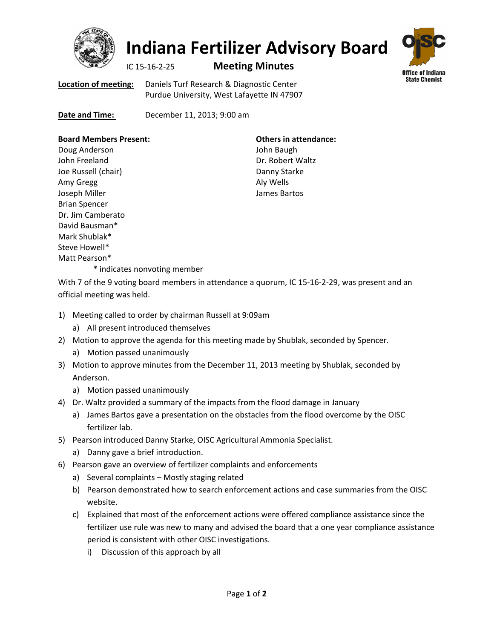

# **Indiana Fertilizer Advisory Board**

### IC 15-16-2-25 **Meeting Minutes**



**Location of meeting:** Daniels Turf Research & Diagnostic Center Purdue University, West Lafayette IN 47907

**Date and Time: December 11, 2013; 9:00 am** 

#### **Board Members Present:**

Doug Anderson John Freeland Joe Russell (chair) Amy Gregg Joseph Miller Brian Spencer Dr. Jim Camberato David Bausman\* Mark Shublak\* Steve Howell\* Matt Pearson\*

**Others in attendance:** John Baugh Dr. Robert Waltz Danny Starke Aly Wells James Bartos

\* indicates nonvoting member

With 7 of the 9 voting board members in attendance a quorum, IC 15-16-2-29, was present and an official meeting was held.

- 1) Meeting called to order by chairman Russell at 9:09am
	- a) All present introduced themselves
- 2) Motion to approve the agenda for this meeting made by Shublak, seconded by Spencer.
	- a) Motion passed unanimously
- 3) Motion to approve minutes from the December 11, 2013 meeting by Shublak, seconded by Anderson.
	- a) Motion passed unanimously
- 4) Dr. Waltz provided a summary of the impacts from the flood damage in January
	- a) James Bartos gave a presentation on the obstacles from the flood overcome by the OISC fertilizer lab.
- 5) Pearson introduced Danny Starke, OISC Agricultural Ammonia Specialist.
	- a) Danny gave a brief introduction.
- 6) Pearson gave an overview of fertilizer complaints and enforcements
	- a) Several complaints Mostly staging related
	- b) Pearson demonstrated how to search enforcement actions and case summaries from the OISC website.
	- c) Explained that most of the enforcement actions were offered compliance assistance since the fertilizer use rule was new to many and advised the board that a one year compliance assistance period is consistent with other OISC investigations.
		- i) Discussion of this approach by all